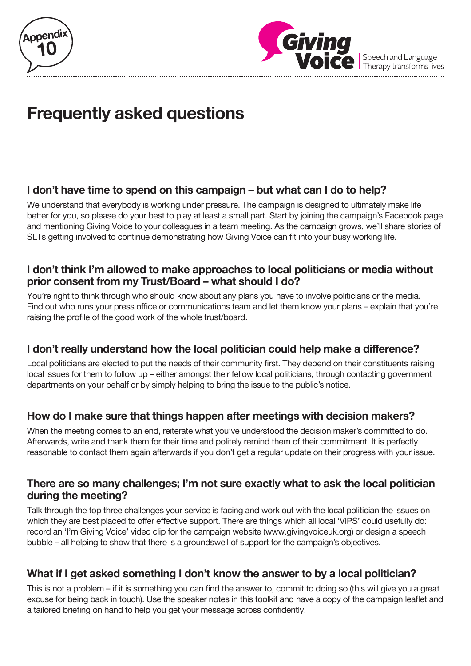



Speech and Language<br>Therapy transforms lives

# **Frequently asked questions**

# **I don't have time to spend on this campaign – but what can I do to help?**

We understand that everybody is working under pressure. The campaign is designed to ultimately make life better for you, so please do your best to play at least a small part. Start by joining the campaign's Facebook page and mentioning Giving Voice to your colleagues in a team meeting. As the campaign grows, we'll share stories of SLTs getting involved to continue demonstrating how Giving Voice can fit into your busy working life.

#### **I don't think I'm allowed to make approaches to local politicians or media without prior consent from my Trust/Board – what should I do?**

You're right to think through who should know about any plans you have to involve politicians or the media. Find out who runs your press office or communications team and let them know your plans – explain that you're raising the profile of the good work of the whole trust/board.

## **I don't really understand how the local politician could help make a difference?**

Local politicians are elected to put the needs of their community first. They depend on their constituents raising local issues for them to follow up – either amongst their fellow local politicians, through contacting government departments on your behalf or by simply helping to bring the issue to the public's notice.

# **How do I make sure that things happen after meetings with decision makers?**

When the meeting comes to an end, reiterate what you've understood the decision maker's committed to do. Afterwards, write and thank them for their time and politely remind them of their commitment. It is perfectly reasonable to contact them again afterwards if you don't get a regular update on their progress with your issue.

#### **There are so many challenges; I'm not sure exactly what to ask the local politician during the meeting?**

Talk through the top three challenges your service is facing and work out with the local politician the issues on which they are best placed to offer effective support. There are things which all local 'VIPS' could usefully do: record an 'I'm Giving Voice' video clip for the campaign website (www.givingvoiceuk.org) or design a speech bubble – all helping to show that there is a groundswell of support for the campaign's objectives.

# **What if I get asked something I don't know the answer to by a local politician?**

This is not a problem – if it is something you can find the answer to, commit to doing so (this will give you a great excuse for being back in touch). Use the speaker notes in this toolkit and have a copy of the campaign leaflet and a tailored briefing on hand to help you get your message across confidently.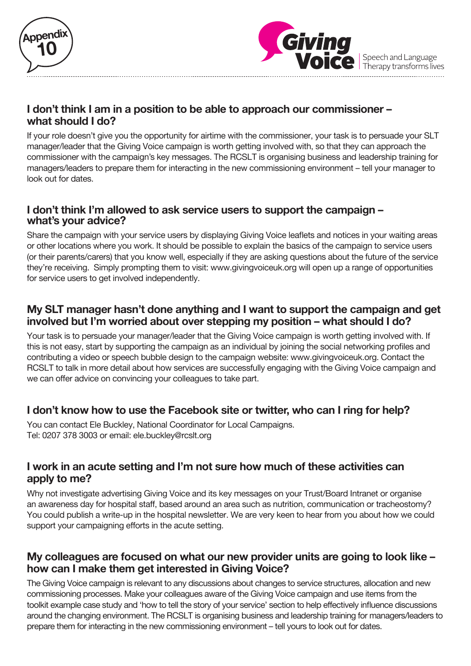



Speech and Language<br>Therapy transforms lives

## **I don't think I am in a position to be able to approach our commissioner – what should I do?**

If your role doesn't give you the opportunity for airtime with the commissioner, your task is to persuade your SLT manager/leader that the Giving Voice campaign is worth getting involved with, so that they can approach the commissioner with the campaign's key messages. The RCSLT is organising business and leadership training for managers/leaders to prepare them for interacting in the new commissioning environment – tell your manager to look out for dates.

#### **I don't think I'm allowed to ask service users to support the campaign – what's your advice?**

Share the campaign with your service users by displaying Giving Voice leaflets and notices in your waiting areas or other locations where you work. It should be possible to explain the basics of the campaign to service users (or their parents/carers) that you know well, especially if they are asking questions about the future of the service they're receiving. Simply prompting them to visit: www.givingvoiceuk.org will open up a range of opportunities for service users to get involved independently.

### **My SLT manager hasn't done anything and I want to support the campaign and get involved but I'm worried about over stepping my position – what should I do?**

Your task is to persuade your manager/leader that the Giving Voice campaign is worth getting involved with. If this is not easy, start by supporting the campaign as an individual by joining the social networking profiles and contributing a video or speech bubble design to the campaign website: www.givingvoiceuk.org. Contact the RCSLT to talk in more detail about how services are successfully engaging with the Giving Voice campaign and we can offer advice on convincing your colleagues to take part.

## **I don't know how to use the Facebook site or twitter, who can I ring for help?**

You can contact Ele Buckley, National Coordinator for Local Campaigns. Tel: 0207 378 3003 or email: ele.buckley@rcslt.org

#### **I work in an acute setting and I'm not sure how much of these activities can apply to me?**

Why not investigate advertising Giving Voice and its key messages on your Trust/Board Intranet or organise an awareness day for hospital staff, based around an area such as nutrition, communication or tracheostomy? You could publish a write-up in the hospital newsletter. We are very keen to hear from you about how we could support your campaigning efforts in the acute setting.

#### **My colleagues are focused on what our new provider units are going to look like – how can I make them get interested in Giving Voice?**

The Giving Voice campaign is relevant to any discussions about changes to service structures, allocation and new commissioning processes. Make your colleagues aware of the Giving Voice campaign and use items from the toolkit example case study and 'how to tell the story of your service' section to help effectively influence discussions around the changing environment. The RCSLT is organising business and leadership training for managers/leaders to prepare them for interacting in the new commissioning environment – tell yours to look out for dates.